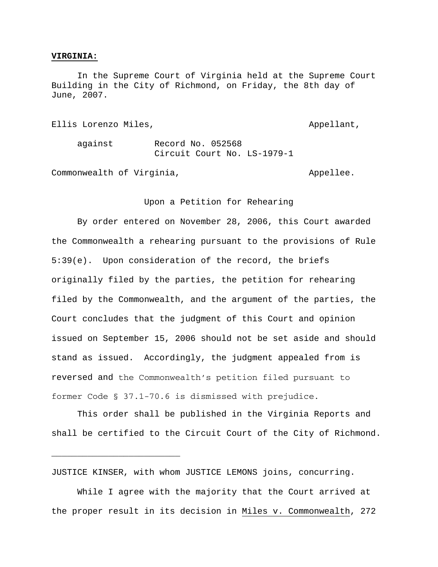## **VIRGINIA:**

 In the Supreme Court of Virginia held at the Supreme Court Building in the City of Richmond, on Friday, the 8th day of June, 2007.

Ellis Lorenzo Miles, the controllant of the control of the Appellant, against Record No. 052568 Circuit Court No. LS-1979-1

Commonwealth of Virginia, The Commonwealth of Virginia,

\_\_\_\_\_\_\_\_\_\_\_\_\_\_\_\_\_\_\_\_\_\_\_\_\_

## Upon a Petition for Rehearing

 By order entered on November 28, 2006, this Court awarded the Commonwealth a rehearing pursuant to the provisions of Rule 5:39(e). Upon consideration of the record, the briefs originally filed by the parties, the petition for rehearing filed by the Commonwealth, and the argument of the parties, the Court concludes that the judgment of this Court and opinion issued on September 15, 2006 should not be set aside and should stand as issued. Accordingly, the judgment appealed from is reversed and the Commonwealth's petition filed pursuant to former Code § 37.1-70.6 is dismissed with prejudice.

This order shall be published in the Virginia Reports and shall be certified to the Circuit Court of the City of Richmond.

JUSTICE KINSER, with whom JUSTICE LEMONS joins, concurring.

 While I agree with the majority that the Court arrived at the proper result in its decision in Miles v. Commonwealth, 272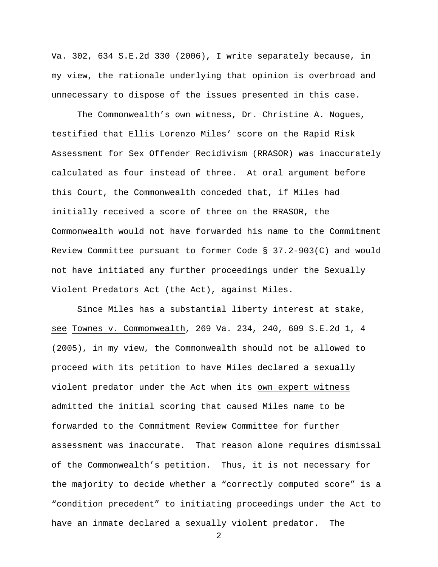Va. 302, 634 S.E.2d 330 (2006), I write separately because, in my view, the rationale underlying that opinion is overbroad and unnecessary to dispose of the issues presented in this case.

The Commonwealth's own witness, Dr. Christine A. Nogues, testified that Ellis Lorenzo Miles' score on the Rapid Risk Assessment for Sex Offender Recidivism (RRASOR) was inaccurately calculated as four instead of three. At oral argument before this Court, the Commonwealth conceded that, if Miles had initially received a score of three on the RRASOR, the Commonwealth would not have forwarded his name to the Commitment Review Committee pursuant to former Code § 37.2-903(C) and would not have initiated any further proceedings under the Sexually Violent Predators Act (the Act), against Miles.

 Since Miles has a substantial liberty interest at stake, see Townes v. Commonwealth, 269 Va. 234, 240, 609 S.E.2d 1, 4 (2005), in my view, the Commonwealth should not be allowed to proceed with its petition to have Miles declared a sexually violent predator under the Act when its own expert witness admitted the initial scoring that caused Miles name to be forwarded to the Commitment Review Committee for further assessment was inaccurate. That reason alone requires dismissal of the Commonwealth's petition. Thus, it is not necessary for the majority to decide whether a "correctly computed score" is a "condition precedent" to initiating proceedings under the Act to have an inmate declared a sexually violent predator. The

2